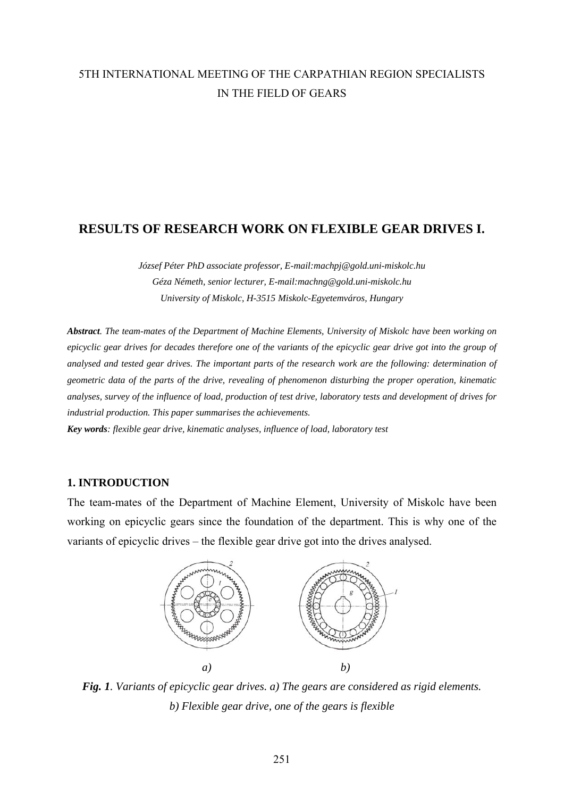# 5TH INTERNATIONAL MEETING OF THE CARPATHIAN REGION SPECIALISTS IN THE FIELD OF GEARS

# **RESULTS OF RESEARCH WORK ON FLEXIBLE GEAR DRIVES I.**

*József Péter PhD associate professor, E-mail:machpj@gold.uni-miskolc.hu Géza Németh, senior lecturer, E-mail:machng@gold.uni-miskolc.hu University of Miskolc, H-3515 Miskolc-Egyetemváros, Hungary* 

*Abstract. The team-mates of the Department of Machine Elements, University of Miskolc have been working on epicyclic gear drives for decades therefore one of the variants of the epicyclic gear drive got into the group of analysed and tested gear drives. The important parts of the research work are the following: determination of geometric data of the parts of the drive, revealing of phenomenon disturbing the proper operation, kinematic analyses, survey of the influence of load, production of test drive, laboratory tests and development of drives for industrial production. This paper summarises the achievements.* 

*Key words: flexible gear drive, kinematic analyses, influence of load, laboratory test* 

## **1. INTRODUCTION**

The team-mates of the Department of Machine Element, University of Miskolc have been working on epicyclic gears since the foundation of the department. This is why one of the variants of epicyclic drives – the flexible gear drive got into the drives analysed.



*Fig. 1. Variants of epicyclic gear drives. a) The gears are considered as rigid elements. b) Flexible gear drive, one of the gears is flexible*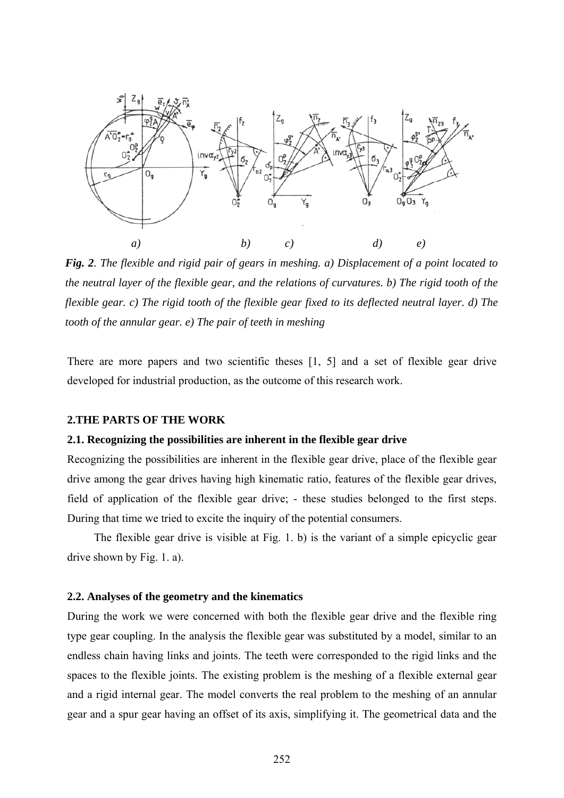

*Fig. 2. The flexible and rigid pair of gears in meshing. a) Displacement of a point located to the neutral layer of the flexible gear, and the relations of curvatures. b) The rigid tooth of the flexible gear. c) The rigid tooth of the flexible gear fixed to its deflected neutral layer. d) The tooth of the annular gear. e) The pair of teeth in meshing* 

There are more papers and two scientific theses [1, 5] and a set of flexible gear drive developed for industrial production, as the outcome of this research work.

#### **2.THE PARTS OF THE WORK**

#### **2.1. Recognizing the possibilities are inherent in the flexible gear drive**

Recognizing the possibilities are inherent in the flexible gear drive, place of the flexible gear drive among the gear drives having high kinematic ratio, features of the flexible gear drives, field of application of the flexible gear drive; - these studies belonged to the first steps. During that time we tried to excite the inquiry of the potential consumers.

The flexible gear drive is visible at Fig. 1. b) is the variant of a simple epicyclic gear drive shown by Fig. 1. a).

#### **2.2. Analyses of the geometry and the kinematics**

During the work we were concerned with both the flexible gear drive and the flexible ring type gear coupling. In the analysis the flexible gear was substituted by a model, similar to an endless chain having links and joints. The teeth were corresponded to the rigid links and the spaces to the flexible joints. The existing problem is the meshing of a flexible external gear and a rigid internal gear. The model converts the real problem to the meshing of an annular gear and a spur gear having an offset of its axis, simplifying it. The geometrical data and the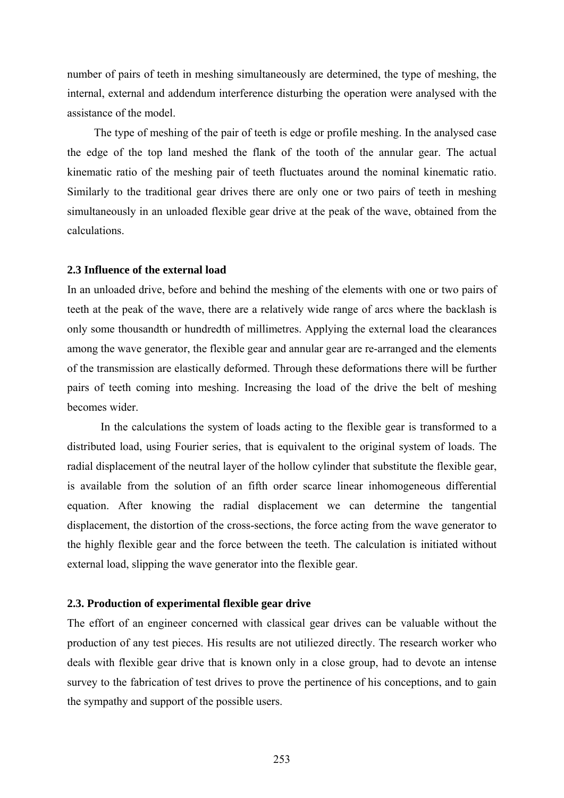number of pairs of teeth in meshing simultaneously are determined, the type of meshing, the internal, external and addendum interference disturbing the operation were analysed with the assistance of the model.

The type of meshing of the pair of teeth is edge or profile meshing. In the analysed case the edge of the top land meshed the flank of the tooth of the annular gear. The actual kinematic ratio of the meshing pair of teeth fluctuates around the nominal kinematic ratio. Similarly to the traditional gear drives there are only one or two pairs of teeth in meshing simultaneously in an unloaded flexible gear drive at the peak of the wave, obtained from the calculations.

#### **2.3 Influence of the external load**

In an unloaded drive, before and behind the meshing of the elements with one or two pairs of teeth at the peak of the wave, there are a relatively wide range of arcs where the backlash is only some thousandth or hundredth of millimetres. Applying the external load the clearances among the wave generator, the flexible gear and annular gear are re-arranged and the elements of the transmission are elastically deformed. Through these deformations there will be further pairs of teeth coming into meshing. Increasing the load of the drive the belt of meshing becomes wider.

In the calculations the system of loads acting to the flexible gear is transformed to a distributed load, using Fourier series, that is equivalent to the original system of loads. The radial displacement of the neutral layer of the hollow cylinder that substitute the flexible gear, is available from the solution of an fifth order scarce linear inhomogeneous differential equation. After knowing the radial displacement we can determine the tangential displacement, the distortion of the cross-sections, the force acting from the wave generator to the highly flexible gear and the force between the teeth. The calculation is initiated without external load, slipping the wave generator into the flexible gear.

#### **2.3. Production of experimental flexible gear drive**

The effort of an engineer concerned with classical gear drives can be valuable without the production of any test pieces. His results are not utiliezed directly. The research worker who deals with flexible gear drive that is known only in a close group, had to devote an intense survey to the fabrication of test drives to prove the pertinence of his conceptions, and to gain the sympathy and support of the possible users.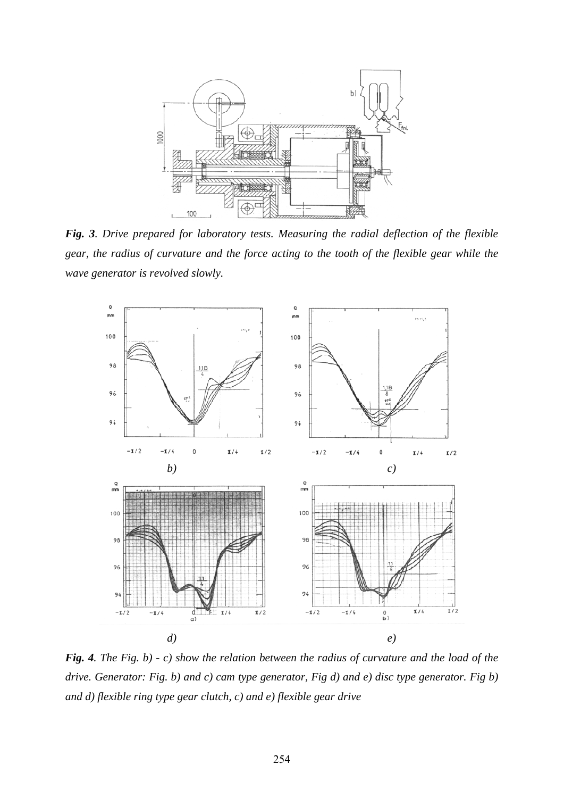

*Fig. 3. Drive prepared for laboratory tests. Measuring the radial deflection of the flexible gear, the radius of curvature and the force acting to the tooth of the flexible gear while the wave generator is revolved slowly.* 



*Fig. 4. The Fig. b) - c) show the relation between the radius of curvature and the load of the drive. Generator: Fig. b) and c) cam type generator, Fig d) and e) disc type generator. Fig b) and d) flexible ring type gear clutch, c) and e) flexible gear drive*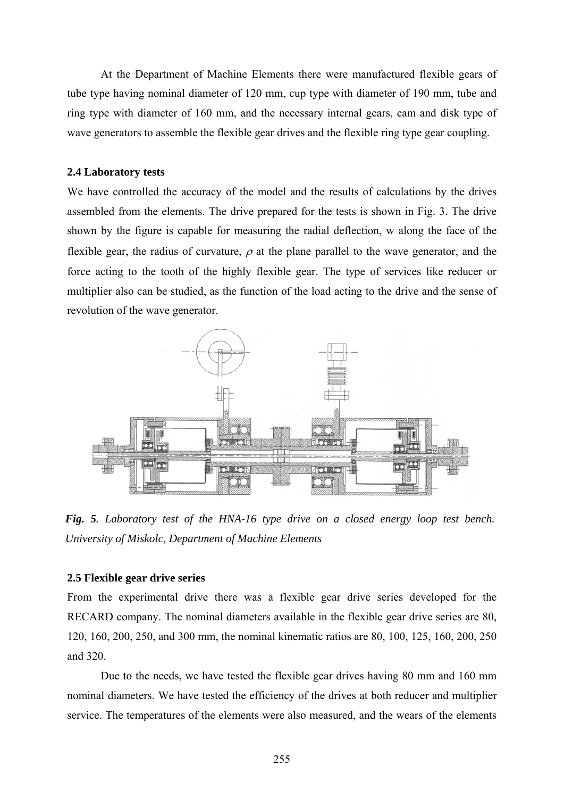At the Department of Machine Elements there were manufactured flexible gears of tube type having nominal diameter of 120 mm, cup type with diameter of 190 mm, tube and ring type with diameter of 160 mm, and the necessary internal gears, cam and disk type of wave generators to assemble the flexible gear drives and the flexible ring type gear coupling.

#### **2.4 Laboratory tests**

We have controlled the accuracy of the model and the results of calculations by the drives assembled from the elements. The drive prepared for the tests is shown in Fig. 3. The drive shown by the figure is capable for measuring the radial deflection, w along the face of the flexible gear, the radius of curvature,  $\rho$  at the plane parallel to the wave generator, and the force acting to the tooth of the highly flexible gear. The type of services like reducer or multiplier also can be studied, as the function of the load acting to the drive and the sense of revolution of the wave generator.



*Fig. 5. Laboratory test of the HNA-16 type drive on a closed energy loop test bench. University of Miskolc, Department of Machine Elements* 

#### **2.5 Flexible gear drive series**

From the experimental drive there was a flexible gear drive series developed for the RECARD company. The nominal diameters available in the flexible gear drive series are 80, 120, 160, 200, 250, and 300 mm, the nominal kinematic ratios are 80, 100, 125, 160, 200, 250 and 320.

Due to the needs, we have tested the flexible gear drives having 80 mm and 160 mm nominal diameters. We have tested the efficiency of the drives at both reducer and multiplier service. The temperatures of the elements were also measured, and the wears of the elements